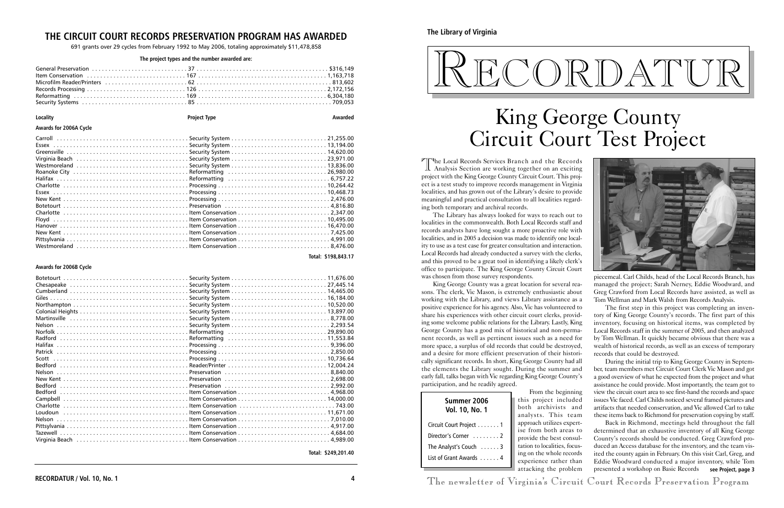The Local Records Services Branch and the Records<br>Analysis Section are working together on an exciting project with the King George County Circuit Court. This project is a test study to improve records management in Virginia localities, and has grown out of the Library's desire to provide meaningful and practical consultation to all localities regarding both temporary and archival records.

The Library has always looked for ways to reach out to localities in the commonwealth. Both Local Records staff and records analysts have long sought a more proactive role with localities, and in 2005 a decision was made to identify one locality to use as a test case for greater consultation and interaction. Local Records had already conducted a survey with the clerks, and this proved to be a great tool in identifying a likely clerk's office to participate. The King George County Circuit Court was chosen from those survey respondents.

> the beginning ject included rchivists and This team utilizes expertboth areas to he best consullocalities, focuse whole records ce rather than attacking the problem

King George County was a great location for several reasons. The clerk, Vic Mason, is extremely enthusiastic about working with the Library, and views Library assistance as a positive experience for his agency. Also, Vic has volunteered to share his experiences with other circuit court clerks, providing some welcome public relations for the Library. Lastly, King George County has a good mix of historical and non-permanent records, as well as pertinent issues such as a need for more space, a surplus of old records that could be destroyed, and a desire for more efficient preservation of their historically significant records. In short, King George County had all the elements the Library sought. During the summer and early fall, talks began with Vic regarding King George County's participation, and he readily agreed.

piecemeal. Carl Childs, head of the Local Records Branch, has managed the project; Sarah Nerney, Eddie Woodward, and Greg Crawford from Local Records have assisted, as well as Tom Wellman and Mark Walsh from Records Analysis.

The first step in this project was completing an inventory of King George County's records. The first part of this inventory, focusing on historical items, was completed by Local Records staff in the summer of 2005, and then analyzed by Tom Wellman. It quickly became obvious that there was a wealth of historical records, as well as an excess of temporary records that could be destroyed.

During the initial trip to King George County in September, team members met Circuit Court Clerk Vic Mason and got a good overview of what he expected from the project and what assistance he could provide. Most importantly, the team got to view the circuit court area to see first-hand the records and space issues Vic faced. Carl Childs noticed several framed pictures and artifacts that needed conservation, and Vic allowed Carl to take these items back to Richmond for preservation copying by staff.

Back in Richmond, meetings held throughout the fall determined that an exhaustive inventory of all King George County's records should be conducted. Greg Crawford produced an Access database for the inventory, and the team visited the county again in February. On this visit Carl, Greg, and Eddie Woodward conducted a major inventory, while Tom presented a workshop on Basic Records **see Project, page 3**

**4 1 The newsletter of Virginia's Circuit Court Records Preservation Program** 

# RECORDATUR

**The Library of Virginia**

|                               | From                 |
|-------------------------------|----------------------|
| Summer 2006                   | this proj            |
| <b>Vol. 10, No. 1</b>         | both ar              |
|                               | analysts             |
| Circuit Court Project 1       | approach<br>ise from |
| Director's Corner 2           | provide tl           |
| The Analyst's Couch $\dots$ . | tation to l          |
| List of Grant Awards 4        | ing on the           |
|                               | experien             |
|                               | attacking            |

# King George County Circuit Court Test Project

### **THE CIRCUIT COURT RECORDS PRESERVATION PROGRAM HAS AWARDED**

691 grants over 29 cycles from February 1992 to May 2006, totaling approximately \$11,478,858

#### **The project types and the number awarded are:**

| Locality                                                                      | <b>Project Type</b> | Awarded             |
|-------------------------------------------------------------------------------|---------------------|---------------------|
| Awards for 2006A Cycle                                                        |                     |                     |
| Westmoreland Security System 13,836.00<br>Roanoke City Reformatting 26,980.00 |                     |                     |
|                                                                               |                     | Total: \$198.843.17 |

#### **Awards for 2006B Cycle**

| Virginia Beach (al. 1989.00) Virginia Beach (al. 1989.00) June 1: 1989.00 |  |
|---------------------------------------------------------------------------|--|

**Total: \$249,201.40**